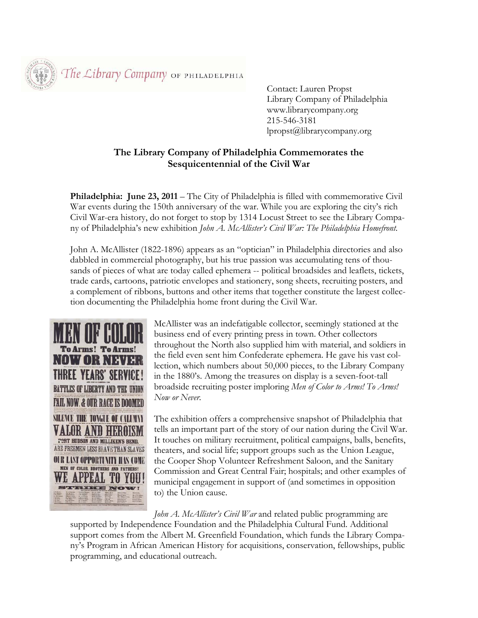The Library Company OF PHILADELPHIA

 Contact: Lauren Propst Library Company of Philadelphia www.librarycompany.org 215-546-3181 lpropst@librarycompany.org

## **The Library Company of Philadelphia Commemorates the Sesquicentennial of the Civil War**

**Philadelphia: June 23, 2011** – The City of Philadelphia is filled with commemorative Civil War events during the 150th anniversary of the war. While you are exploring the city's rich Civil War-era history, do not forget to stop by 1314 Locust Street to see the Library Company of Philadelphia's new exhibition *John A. McAllister's Civil War: The Philadelphia Homefront.* 

John A. McAllister (1822-1896) appears as an "optician" in Philadelphia directories and also dabbled in commercial photography, but his true passion was accumulating tens of thousands of pieces of what are today called ephemera -- political broadsides and leaflets, tickets, trade cards, cartoons, patriotic envelopes and stationery, song sheets, recruiting posters, and a complement of ribbons, buttons and other items that together constitute the largest collection documenting the Philadelphia home front during the Civil War.



McAllister was an indefatigable collector, seemingly stationed at the business end of every printing press in town. Other collectors throughout the North also supplied him with material, and soldiers in the field even sent him Confederate ephemera. He gave his vast collection, which numbers about 50,000 pieces, to the Library Company in the 1880's. Among the treasures on display is a seven-foot-tall broadside recruiting poster imploring *Men of Color to Arms! To Arms! Now or Never.* 

The exhibition offers a comprehensive snapshot of Philadelphia that tells an important part of the story of our nation during the Civil War. It touches on military recruitment, political campaigns, balls, benefits, theaters, and social life; support groups such as the Union League, the Cooper Shop Volunteer Refreshment Saloon, and the Sanitary Commission and Great Central Fair; hospitals; and other examples of municipal engagement in support of (and sometimes in opposition to) the Union cause.

*John A. McAllister's Civil War* and related public programming are supported by Independence Foundation and the Philadelphia Cultural Fund. Additional support comes from the Albert M. Greenfield Foundation, which funds the Library Company's Program in African American History for acquisitions, conservation, fellowships, public programming, and educational outreach.